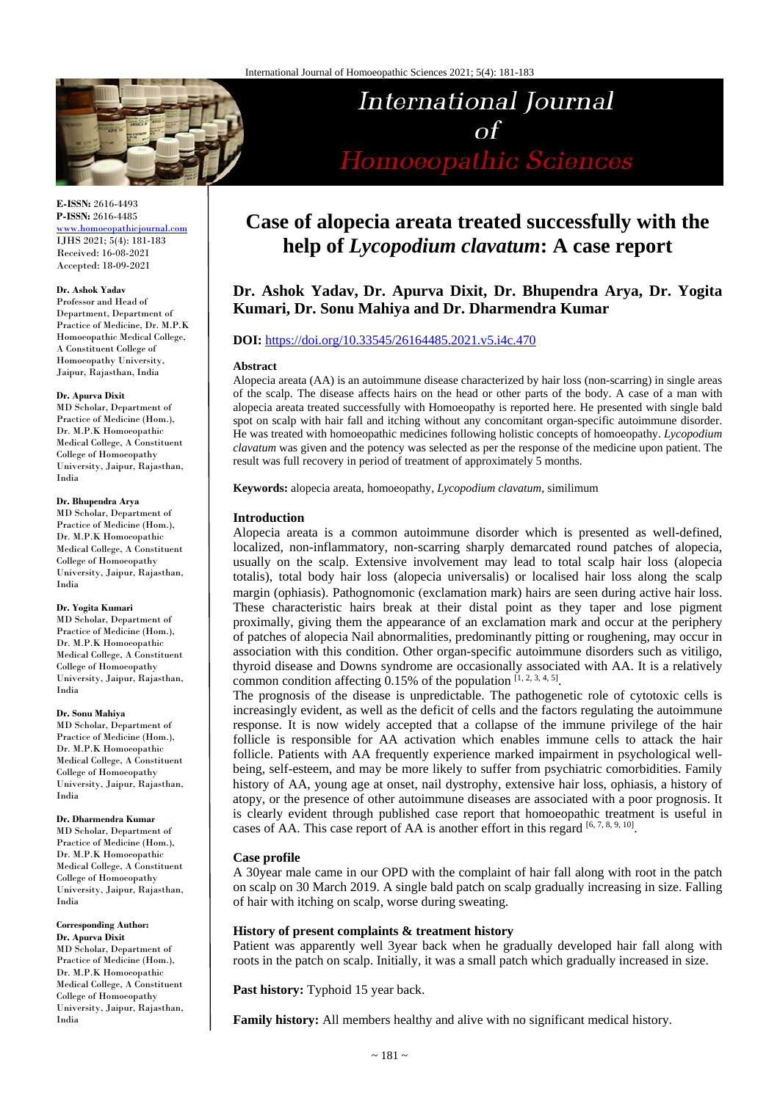

**E-ISSN:** 2616-4493 **P-ISSN:** 2616-4485

[www.homoeopathicjournal.com](file://Server/test/homoeopathicjournal/issue/vol%204/issue%201/www.homoeopathicjournal.com) IJHS 2021; 5(4): 181-183 Received: 16-08-2021 Accepted: 18-09-2021

#### **Dr. Ashok Yadav**

Professor and Head of Department, Department of Practice of Medicine, Dr. M.P.K Homoeopathic Medical College, A Constituent College of Homoeopathy University, Jaipur, Rajasthan, India

#### **Dr. Apurva Dixit**

MD Scholar, Department of Practice of Medicine (Hom.), Dr. M.P.K Homoeopathic Medical College, A Constituent College of Homoeopathy University, Jaipur, Rajasthan, India

#### **Dr. Bhupendra Arya**

MD Scholar, Department of Practice of Medicine (Hom.), Dr. M.P.K Homoeopathic Medical College, A Constituent College of Homoeopathy University, Jaipur, Rajasthan, India

#### **Dr. Yogita Kumari**

MD Scholar, Department of Practice of Medicine (Hom.), Dr. M.P.K Homoeopathic Medical College, A Constituent College of Homoeopathy University, Jaipur, Rajasthan, India

#### **Dr. Sonu Mahiya**

MD Scholar, Department of Practice of Medicine (Hom.), Dr. M.P.K Homoeopathic Medical College, A Constituent College of Homoeopathy University, Jaipur, Rajasthan, India

#### **Dr. Dharmendra Kumar**

MD Scholar, Department of Practice of Medicine (Hom.), Dr. M.P.K Homoeopathic Medical College, A Constituent College of Homoeopathy University, Jaipur, Rajasthan, India

# **Corresponding Author:**

**Dr. Apurva Dixit** MD Scholar, Department of Practice of Medicine (Hom.), Dr. M.P.K Homoeopathic Medical College, A Constituent College of Homoeopathy University, Jaipur, Rajasthan, India

# **Case of alopecia areata treated successfully with the help of** *Lycopodium clavatum***: A case report**

**International Journal** 

 $\Omega$ 

Homoeopathic Sciences

# **Dr. Ashok Yadav, Dr. Apurva Dixit, Dr. Bhupendra Arya, Dr. Yogita Kumari, Dr. Sonu Mahiya and Dr. Dharmendra Kumar**

# **DOI:** <https://doi.org/10.33545/26164485.2021.v5.i4c.470>

#### **Abstract**

Alopecia areata (AA) is an autoimmune disease characterized by hair loss (non-scarring) in single areas of the scalp. The disease affects hairs on the head or other parts of the body. A case of a man with alopecia areata treated successfully with Homoeopathy is reported here. He presented with single bald spot on scalp with hair fall and itching without any concomitant organ-specific autoimmune disorder. He was treated with homoeopathic medicines following holistic concepts of homoeopathy. *Lycopodium clavatum* was given and the potency was selected as per the response of the medicine upon patient. The result was full recovery in period of treatment of approximately 5 months.

**Keywords:** alopecia areata, homoeopathy, *Lycopodium clavatum*, similimum

# **Introduction**

Alopecia areata is a common autoimmune disorder which is presented as well-defined, localized, non-inflammatory, non-scarring sharply demarcated round patches of alopecia, usually on the scalp. Extensive involvement may lead to total scalp hair loss (alopecia totalis), total body hair loss (alopecia universalis) or localised hair loss along the scalp margin (ophiasis). Pathognomonic (exclamation mark) hairs are seen during active hair loss. These characteristic hairs break at their distal point as they taper and lose pigment proximally, giving them the appearance of an exclamation mark and occur at the periphery of patches of alopecia Nail abnormalities, predominantly pitting or roughening, may occur in association with this condition. Other organ-specific autoimmune disorders such as vitiligo, thyroid disease and Downs syndrome are occasionally associated with AA. It is a relatively common condition affecting 0.15% of the population  $[1, 2, 3, 4, 5]$ .

The prognosis of the disease is unpredictable. The pathogenetic role of cytotoxic cells is increasingly evident, as well as the deficit of cells and the factors regulating the autoimmune response. It is now widely accepted that a collapse of the immune privilege of the hair follicle is responsible for AA activation which enables immune cells to attack the hair follicle. Patients with AA frequently experience marked impairment in psychological wellbeing, self-esteem, and may be more likely to suffer from psychiatric comorbidities. Family history of AA, young age at onset, nail dystrophy, extensive hair loss, ophiasis, a history of atopy, or the presence of other autoimmune diseases are associated with a poor prognosis. It is clearly evident through published case report that homoeopathic treatment is useful in cases of AA. This case report of AA is another effort in this regard [6, 7, 8, 9, 10].

# **Case profile**

A 30year male came in our OPD with the complaint of hair fall along with root in the patch on scalp on 30 March 2019. A single bald patch on scalp gradually increasing in size. Falling of hair with itching on scalp, worse during sweating.

#### **History of present complaints & treatment history**

Patient was apparently well 3year back when he gradually developed hair fall along with roots in the patch on scalp. Initially, it was a small patch which gradually increased in size.

**Past history:** Typhoid 15 year back.

**Family history:** All members healthy and alive with no significant medical history.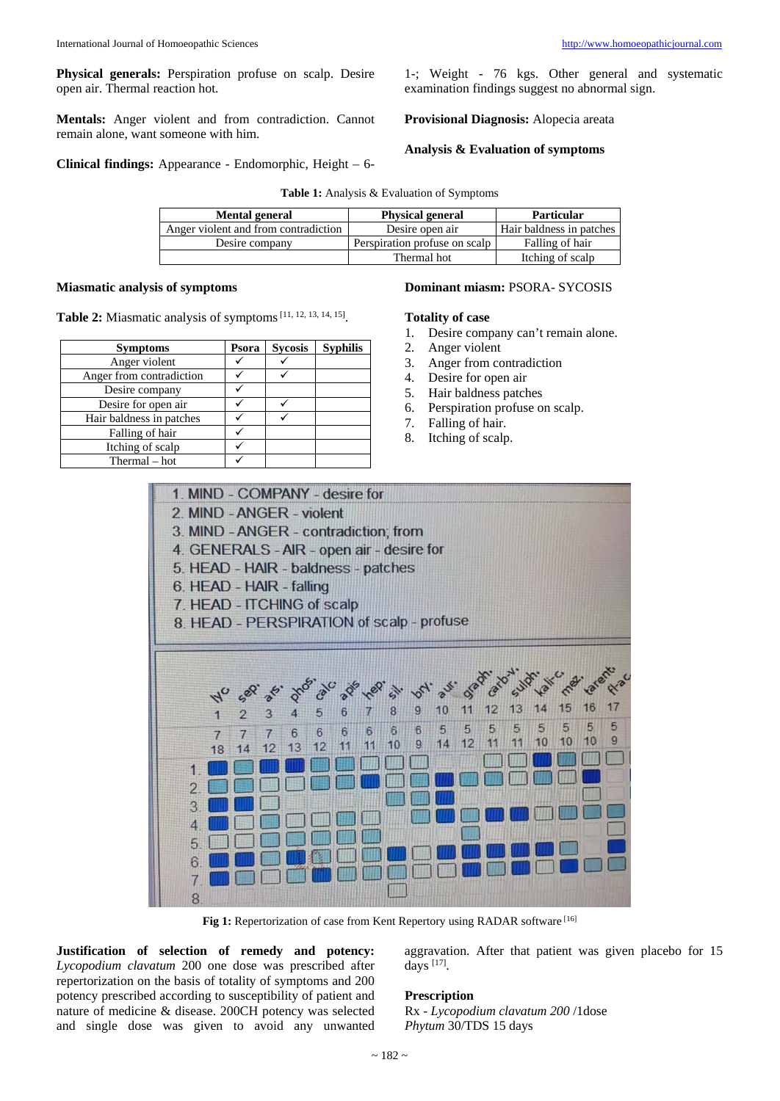**Physical generals:** Perspiration profuse on scalp. Desire open air. Thermal reaction hot.

**Mentals:** Anger violent and from contradiction. Cannot remain alone, want someone with him.

**Clinical findings:** Appearance - Endomorphic, Height – 6-

1-; Weight - 76 kgs. Other general and systematic examination findings suggest no abnormal sign.

**Provisional Diagnosis:** Alopecia areata

**Analysis & Evaluation of symptoms**

|  | Table 1: Analysis & Evaluation of Symptoms |
|--|--------------------------------------------|
|--|--------------------------------------------|

| <b>Mental general</b>                | <b>Physical general</b>       | <b>Particular</b>        |  |
|--------------------------------------|-------------------------------|--------------------------|--|
| Anger violent and from contradiction | Desire open air               | Hair baldness in patches |  |
| Desire company                       | Perspiration profuse on scalp | Falling of hair          |  |
|                                      | Thermal hot                   | Itching of scalp         |  |

# **Miasmatic analysis of symptoms**

**Table 2:** Miasmatic analysis of symptoms[11, 12, 13, 14, 15].

| <b>Symptoms</b>          | Psora | <b>Sycosis</b> | <b>Syphilis</b> |
|--------------------------|-------|----------------|-----------------|
| Anger violent            |       |                |                 |
| Anger from contradiction |       |                |                 |
| Desire company           |       |                |                 |
| Desire for open air      |       |                |                 |
| Hair baldness in patches |       |                |                 |
| Falling of hair          |       |                |                 |
| Itching of scalp         |       |                |                 |
| Thermal – hot            |       |                |                 |

# **Dominant miasm:** PSORA- SYCOSIS

## **Totality of case**

- 1. Desire company can't remain alone.
- 2. Anger violent
- 3. Anger from contradiction
- 4. Desire for open air
- 5. Hair baldness patches
- 6. Perspiration profuse on scalp.
- 7. Falling of hair.
- 8. Itching of scalp.



Fig 1: Repertorization of case from Kent Repertory using RADAR software [16]

**Justification of selection of remedy and potency:**  *Lycopodium clavatum* 200 one dose was prescribed after repertorization on the basis of totality of symptoms and 200 potency prescribed according to susceptibility of patient and nature of medicine & disease. 200CH potency was selected and single dose was given to avoid any unwanted

aggravation. After that patient was given placebo for 15 days [17].

# **Prescription**

Rx - *Lycopodium clavatum 200* /1dose *Phytum* 30/TDS 15 days